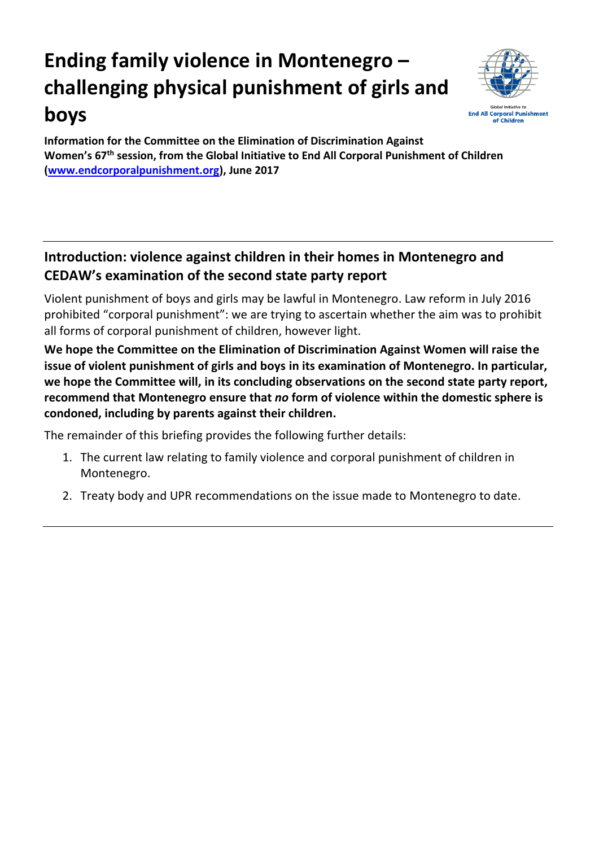# **Ending family violence in Montenegro – challenging physical punishment of girls and boys**



**Information for the Committee on the Elimination of Discrimination Against Women's 67 th session, from the Global Initiative to End All Corporal Punishment of Children [\(www.endcorporalpunishment.org\)](http://www.endcorporalpunishment.org/), June 2017**

# **Introduction: violence against children in their homes in Montenegro and CEDAW's examination of the second state party report**

Violent punishment of boys and girls may be lawful in Montenegro. Law reform in July 2016 prohibited "corporal punishment": we are trying to ascertain whether the aim was to prohibit all forms of corporal punishment of children, however light.

**We hope the Committee on the Elimination of Discrimination Against Women will raise the issue of violent punishment of girls and boys in its examination of Montenegro. In particular, we hope the Committee will, in its concluding observations on the second state party report, recommend that Montenegro ensure that** *no* **form of violence within the domestic sphere is condoned, including by parents against their children.**

The remainder of this briefing provides the following further details:

- 1. The current law relating to family violence and corporal punishment of children in Montenegro.
- 2. Treaty body and UPR recommendations on the issue made to Montenegro to date.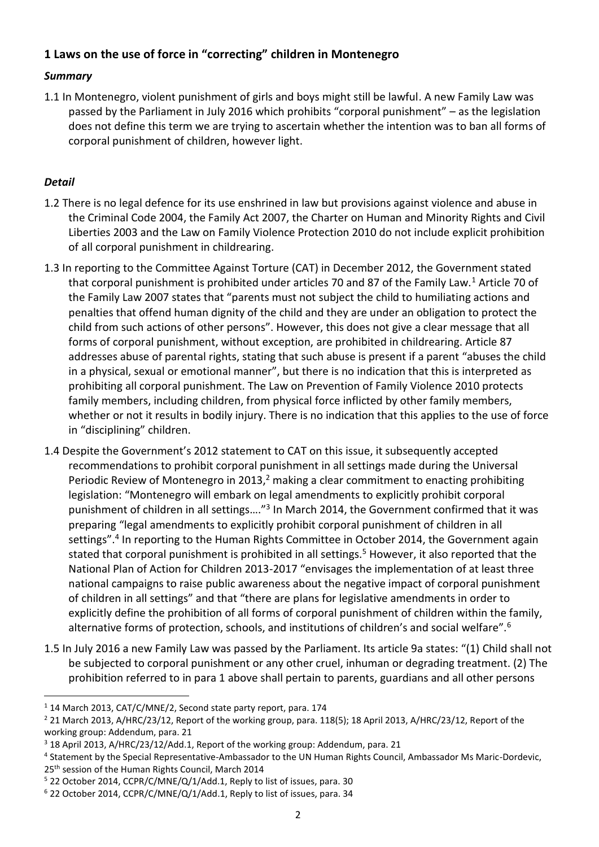# **1 Laws on the use of force in "correcting" children in Montenegro**

#### *Summary*

1.1 In Montenegro, violent punishment of girls and boys might still be lawful. A new Family Law was passed by the Parliament in July 2016 which prohibits "corporal punishment" – as the legislation does not define this term we are trying to ascertain whether the intention was to ban all forms of corporal punishment of children, however light.

## *Detail*

 $\overline{a}$ 

- 1.2 There is no legal defence for its use enshrined in law but provisions against violence and abuse in the Criminal Code 2004, the Family Act 2007, the Charter on Human and Minority Rights and Civil Liberties 2003 and the Law on Family Violence Protection 2010 do not include explicit prohibition of all corporal punishment in childrearing.
- 1.3 In reporting to the Committee Against Torture (CAT) in December 2012, the Government stated that corporal punishment is prohibited under articles 70 and 87 of the Family Law.<sup>1</sup> Article 70 of the Family Law 2007 states that "parents must not subject the child to humiliating actions and penalties that offend human dignity of the child and they are under an obligation to protect the child from such actions of other persons". However, this does not give a clear message that all forms of corporal punishment, without exception, are prohibited in childrearing. Article 87 addresses abuse of parental rights, stating that such abuse is present if a parent "abuses the child in a physical, sexual or emotional manner", but there is no indication that this is interpreted as prohibiting all corporal punishment. The Law on Prevention of Family Violence 2010 protects family members, including children, from physical force inflicted by other family members, whether or not it results in bodily injury. There is no indication that this applies to the use of force in "disciplining" children.
- 1.4 Despite the Government's 2012 statement to CAT on this issue, it subsequently accepted recommendations to prohibit corporal punishment in all settings made during the Universal Periodic Review of Montenegro in 2013, $2$  making a clear commitment to enacting prohibiting legislation: "Montenegro will embark on legal amendments to explicitly prohibit corporal punishment of children in all settings...."<sup>3</sup> In March 2014, the Government confirmed that it was preparing "legal amendments to explicitly prohibit corporal punishment of children in all settings".<sup>4</sup> In reporting to the Human Rights Committee in October 2014, the Government again stated that corporal punishment is prohibited in all settings.<sup>5</sup> However, it also reported that the National Plan of Action for Children 2013-2017 "envisages the implementation of at least three national campaigns to raise public awareness about the negative impact of corporal punishment of children in all settings" and that "there are plans for legislative amendments in order to explicitly define the prohibition of all forms of corporal punishment of children within the family, alternative forms of protection, schools, and institutions of children's and social welfare".<sup>6</sup>
- 1.5 In July 2016 a new Family Law was passed by the Parliament. Its article 9a states: "(1) Child shall not be subjected to corporal punishment or any other cruel, inhuman or degrading treatment. (2) The prohibition referred to in para 1 above shall pertain to parents, guardians and all other persons

<sup>1</sup> 14 March 2013, CAT/C/MNE/2, Second state party report, para. 174

<sup>&</sup>lt;sup>2</sup> 21 March 2013, A/HRC/23/12, Report of the working group, para. 118(5); 18 April 2013, A/HRC/23/12, Report of the working group: Addendum, para. 21

<sup>3</sup> 18 April 2013, A/HRC/23/12/Add.1, Report of the working group: Addendum, para. 21

<sup>4</sup> Statement by the Special Representative-Ambassador to the UN Human Rights Council, Ambassador Ms Maric-Dordevic, 25<sup>th</sup> session of the Human Rights Council, March 2014

<sup>5</sup> 22 October 2014, CCPR/C/MNE/Q/1/Add.1, Reply to list of issues, para. 30

<sup>6</sup> 22 October 2014, CCPR/C/MNE/Q/1/Add.1, Reply to list of issues, para. 34